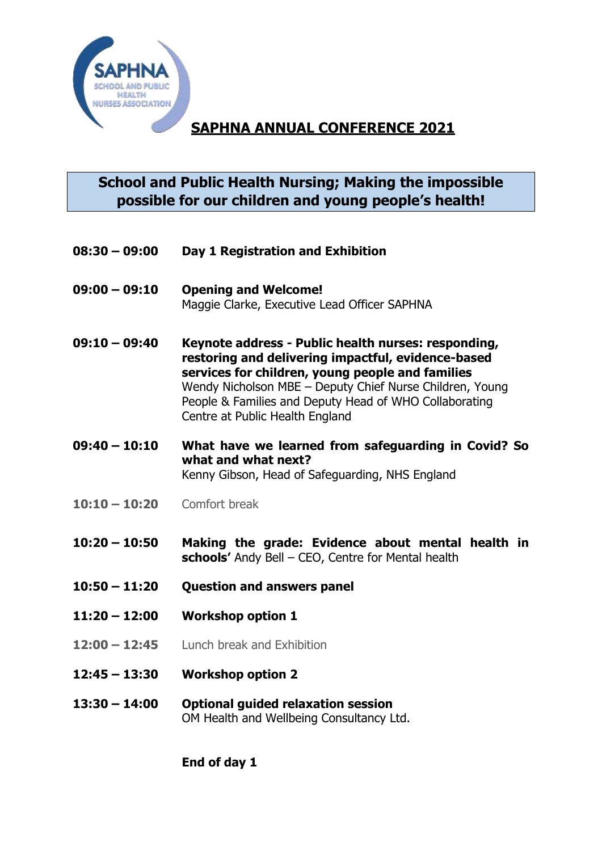

# **SAPHNA ANNUAL CONFERENCE 2021**

### **School and Public Health Nursing; Making the impossible possible for our children and young people's health!**

- **08:30 – 09:00 Day 1 Registration and Exhibition**
- **09:00 – 09:10 Opening and Welcome!** Maggie Clarke, Executive Lead Officer SAPHNA
- **09:10 – 09:40 Keynote address - Public health nurses: responding, restoring and delivering impactful, evidence-based services for children, young people and families** Wendy Nicholson MBE – Deputy Chief Nurse Children, Young People & Families and Deputy Head of WHO Collaborating Centre at Public Health England
- **09:40 – 10:10 What have we learned from safeguarding in Covid? So what and what next?** Kenny Gibson, Head of Safeguarding, NHS England
- **10:10 – 10:20** Comfort break
- **10:20 – 10:50 Making the grade: Evidence about mental health in schools'** Andy Bell – CEO, Centre for Mental health
- **10:50 – 11:20 Question and answers panel**
- **11:20 – 12:00 Workshop option 1**
- **12:00 – 12:45** Lunch break and Exhibition
- **12:45 – 13:30 Workshop option 2**
- **13:30 – 14:00 Optional guided relaxation session** OM Health and Wellbeing Consultancy Ltd.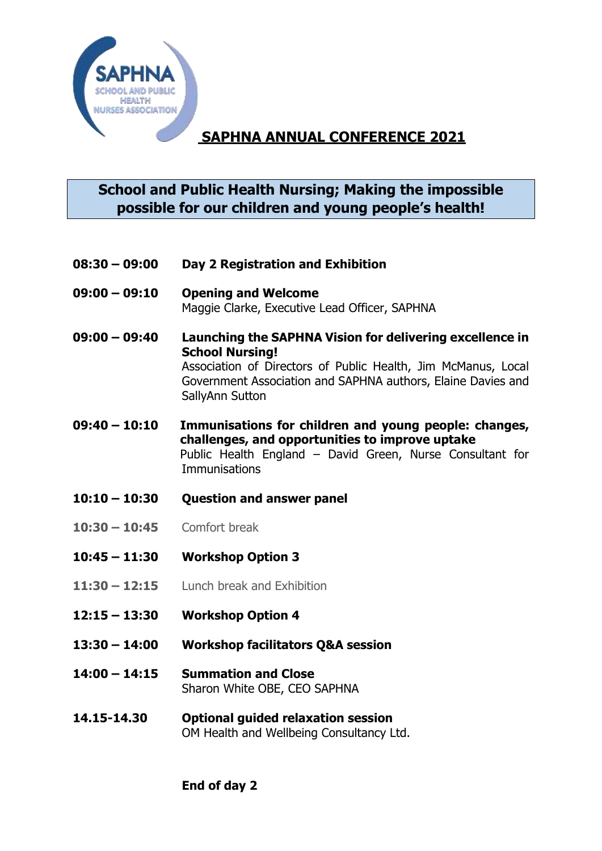

# **SAPHNA ANNUAL CONFERENCE 2021**

#### **School and Public Health Nursing; Making the impossible possible for our children and young people's health!**

- **08:30 – 09:00 Day 2 Registration and Exhibition**
- **09:00 – 09:10 Opening and Welcome** Maggie Clarke, Executive Lead Officer, SAPHNA
- **09:00 – 09:40 Launching the SAPHNA Vision for delivering excellence in School Nursing!** Association of Directors of Public Health, Jim McManus, Local Government Association and SAPHNA authors, Elaine Davies and SallyAnn Sutton
- **09:40 – 10:10 Immunisations for children and young people: changes, challenges, and opportunities to improve uptake** Public Health England – David Green, Nurse Consultant for **Immunisations**
- **10:10 – 10:30 Question and answer panel**
- **10:30 – 10:45** Comfort break
- **10:45 – 11:30 Workshop Option 3**
- **11:30 – 12:15** Lunch break and Exhibition
- **12:15 – 13:30 Workshop Option 4**
- **13:30 – 14:00 Workshop facilitators Q&A session**
- **14:00 – 14:15 Summation and Close** Sharon White OBE, CEO SAPHNA
- **14.15-14.30 Optional guided relaxation session** OM Health and Wellbeing Consultancy Ltd.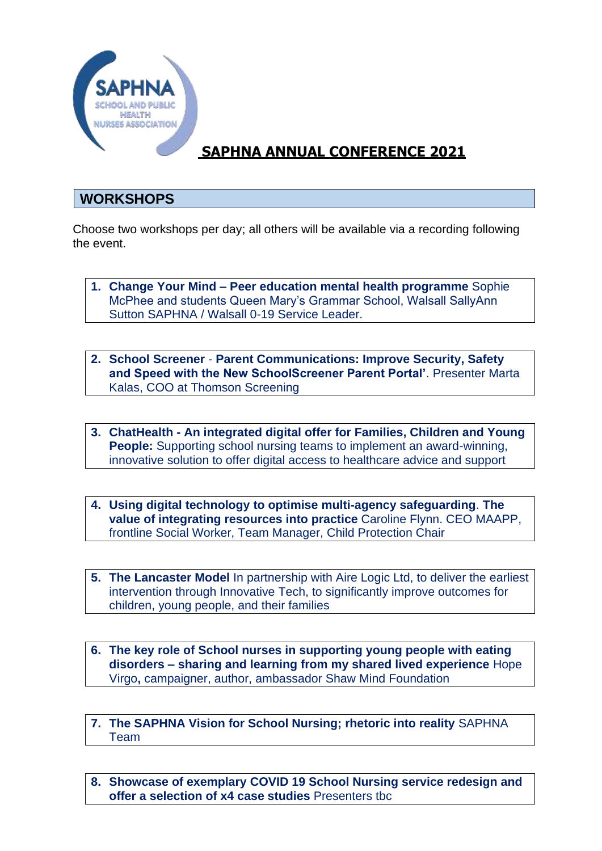

# **SAPHNA ANNUAL CONFERENCE 2021**

#### **WORKSHOPS**

Choose two workshops per day; all others will be available via a recording following the event.

- **1. Change Your Mind – Peer education mental health programme** Sophie McPhee and students Queen Mary's Grammar School, Walsall SallyAnn Sutton SAPHNA / Walsall 0-19 Service Leader.
- **2. School Screener Parent Communications: Improve Security, Safety and Speed with the New SchoolScreener Parent Portal'**. Presenter Marta Kalas, COO at Thomson Screening
- **3. ChatHealth - An integrated digital offer for Families, Children and Young People:** Supporting school nursing teams to implement an award-winning, innovative solution to offer digital access to healthcare advice and support
- **4. Using digital technology to optimise multi-agency safeguarding**. **The value of integrating resources into practice** Caroline Flynn. CEO MAAPP, frontline Social Worker, Team Manager, Child Protection Chair
- **5. The Lancaster Model** In partnership with Aire Logic Ltd, to deliver the earliest intervention through Innovative Tech, to significantly improve outcomes for children, young people, and their families
- **6. The key role of School nurses in supporting young people with eating disorders – sharing and learning from my shared lived experience** Hope Virgo**,** campaigner, author, ambassador Shaw Mind Foundation
- **7. The SAPHNA Vision for School Nursing; rhetoric into reality** SAPHNA Team
- **8. Showcase of exemplary COVID 19 School Nursing service redesign and offer a selection of x4 case studies** Presenters tbc